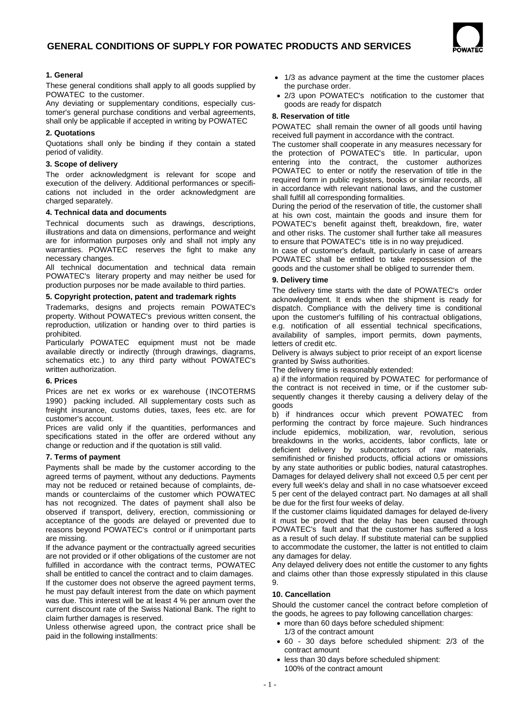

# **1. General**

These general conditions shall apply to all goods supplied by POWATEC to the customer.

Any deviating or supplementary conditions, especially customer's general purchase conditions and verbal agreements, shall only be applicable if accepted in writing by POWATEC

# **2. Quotations**

Quotations shall only be binding if they contain a stated period of validity.

#### **3. Scope of delivery**

The order acknowledgment is relevant for scope and execution of the delivery. Additional performances or specifications not included in the order acknowledgment are charged separately.

#### **4. Technical data and documents**

Technical documents such as drawings, descriptions, illustrations and data on dimensions, performance and weight are for information purposes only and shall not imply any warranties. POWATEC reserves the fight to make any necessary changes.

All technical documentation and technical data remain POWATEC's literary property and may neither be used for production purposes nor be made available to third parties.

#### **5. Copyright protection, patent and trademark rights**

Trademarks, designs and projects remain POWATEC's property. Without POWATEC's previous written consent, the reproduction, utilization or handing over to third parties is prohibited.

Particularly POWATEC equipment must not be made available directly or indirectly (through drawings, diagrams, schematics etc.) to any third party without POWATEC's written authorization.

#### **6. Prices**

Prices are net ex works or ex warehouse (INCOTERMS 1990) packing included. All supplementary costs such as freight insurance, customs duties, taxes, fees etc. are for customer's account.

Prices are valid only if the quantities, performances and specifications stated in the offer are ordered without any change or reduction and if the quotation is still valid.

#### **7. Terms of payment**

Payments shall be made by the customer according to the agreed terms of payment, without any deductions. Payments may not be reduced or retained because of complaints, demands or counterclaims of the customer which POWATEC has not recognized. The dates of payment shall also be observed if transport, delivery, erection, commissioning or acceptance of the goods are delayed or prevented due to reasons beyond POWATEC's control or if unimportant parts are missing.

If the advance payment or the contractually agreed securities are not provided or if other obligations of the customer are not fulfilled in accordance with the contract terms, POWATEC shall be entitled to cancel the contract and to claim damages.

If the customer does not observe the agreed payment terms, he must pay default interest from the date on which payment was due. This interest will be at least 4 % per annum over the current discount rate of the Swiss National Bank. The right to claim further damages is reserved.

Unless otherwise agreed upon, the contract price shall be paid in the following installments:

- 1/3 as advance payment at the time the customer places the purchase order.
- 2/3 upon POWATEC's notification to the customer that goods are ready for dispatch

## **8. Reservation of title**

POWATEC shall remain the owner of all goods until having received full payment in accordance with the contract.

The customer shall cooperate in any measures necessary for the protection of POWATEC's title. In particular, upon entering into the contract, the customer authorizes POWATEC to enter or notify the reservation of title in the required form in public registers, books or similar records, all in accordance with relevant national laws, and the customer shall fulfill all corresponding formalities.

During the period of the reservation of title, the customer shall at his own cost, maintain the goods and insure them for POWATEC's benefit against theft, breakdown, fire, water and other risks. The customer shall further take all measures to ensure that POWATEC's title is in no way prejudiced.

In case of customer's default, particularly in case of arrears POWATEC shall be entitled to take repossession of the goods and the customer shall be obliged to surrender them.

## **9. Delivery time**

The delivery time starts with the date of POWATEC's order acknowledgment. It ends when the shipment is ready for dispatch. Compliance with the delivery time is conditional upon the customer's fulfilling of his contractual obligations, e.g. notification of all essential technical specifications, availability of samples, import permits, down payments, letters of credit etc.

Delivery is always subject to prior receipt of an export license granted by Swiss authorities.

The delivery time is reasonably extended:

a) if the information required by POWATEC for performance of the contract is not received in time, or if the customer subsequently changes it thereby causing a delivery delay of the goods

b) if hindrances occur which prevent POWATEC from performing the contract by force majeure. Such hindrances include epidemics, mobilization, war, revolution, serious breakdowns in the works, accidents, labor conflicts, late or deficient delivery by subcontractors of raw materials, semifinished or finished products, official actions or omissions by any state authorities or public bodies, natural catastrophes. Damages for delayed delivery shall not exceed 0,5 per cent per every full week's delay and shall in no case whatsoever exceed 5 per cent of the delayed contract part. No damages at all shall be due for the first four weeks of delay.

If the customer claims liquidated damages for delayed de-livery it must be proved that the delay has been caused through POWATEC's fault and that the customer has suffered a loss as a result of such delay. If substitute material can be supplied to accommodate the customer, the latter is not entitled to claim any damages for delay.

Any delayed delivery does not entitle the customer to any fights and claims other than those expressly stipulated in this clause  $\mathsf{o}$ 

# **10. Cancellation**

Should the customer cancel the contract before completion of the goods, he agrees to pay following cancellation charges:

- more than 60 days before scheduled shipment:
- 1/3 of the contract amount
- 60 30 days before scheduled shipment: 2/3 of the contract amount
- less than 30 days before scheduled shipment: 100% of the contract amount